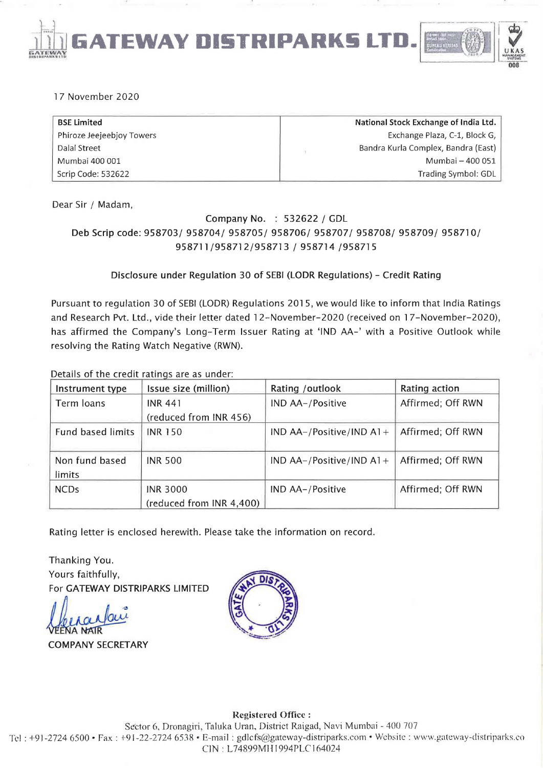**EWAY DI§TRIPARK§ LT** 



### 17 November 2020

**GATEWAY 'n6 I nn'.'IIIIUl",lU** 

| <b>BSE Limited</b>        | National Stock Exchange of India Ltd. |
|---------------------------|---------------------------------------|
| Phiroze Jeejeebjoy Towers | Exchange Plaza, C-1, Block G,         |
| Dalal Street              | Bandra Kurla Complex, Bandra (East)   |
| Mumbai 400 001            | Mumbai - 400 051                      |
| Scrip Code: 532622        | Trading Symbol: GDL                   |

Dear Sir / Madam,

### Company No. : 532622 / GDL Deb Scrip code: 958703/ 958704/ 958705/ 958706/ 958707/ 958708/ 958709/ 958710/ 958711/958712/958713 / 958714 /958715

### Disclosure under Regulation 30 of SEBI (LODR Regulations) - Credit Rating

Pursuant to regulation 30 of SEBI (LODR) Regulations 2015, we would like to inform that India Ratings and Research Pvt. Ltd., vide their letter dated 12-November-2020 (received on 17-November-2020), has affirmed the Company's Long-Term Issuer Rating at 'IND AA-' with a Positive Outlook while resolving the Rating Watch Negative (RWN).

Details of the credit ratings are as under:

| Instrument type          | Issue size (million)     | Rating / outlook           | Rating action     |
|--------------------------|--------------------------|----------------------------|-------------------|
| Term loans               | <b>INR 441</b>           | IND AA-/Positive           | Affirmed; Off RWN |
|                          | (reduced from INR 456)   |                            |                   |
| <b>Fund based limits</b> | <b>INR 150</b>           | IND AA-/Positive/IND $A1+$ | Affirmed; Off RWN |
|                          |                          |                            |                   |
| Non fund based           | <b>INR 500</b>           | IND AA-/Positive/IND A1+   | Affirmed; Off RWN |
| limits                   |                          |                            |                   |
| <b>NCDs</b>              | <b>INR 3000</b>          | IND AA-/Positive           | Affirmed: Off RWN |
|                          | (reduced from INR 4,400) |                            |                   |

Rating letter is enclosed herewith. Please take the information on record.

Thanking You. Yours faithfully, For GATEWAY DISTRIPARKS LIMITED Yours faithfully,<br>For GATEWAY DISTRIPARKS LIMITED<br>A COMPANY SECRETARY

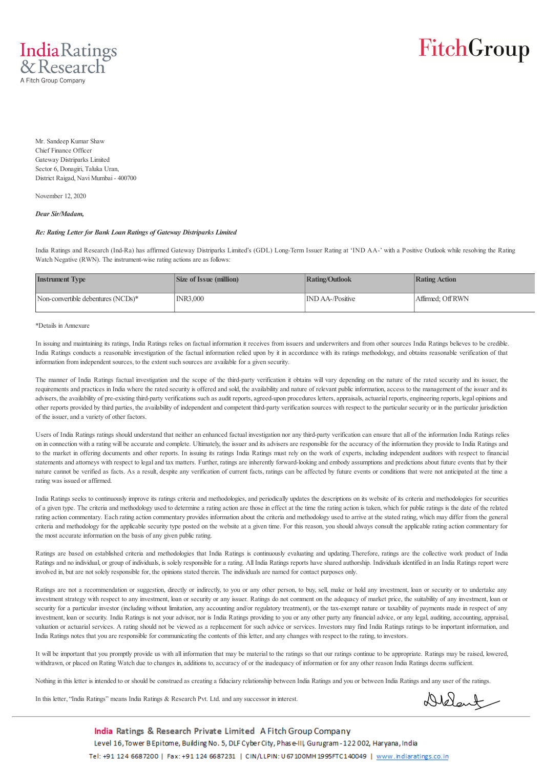

Mr. Sandeep Kumar Shaw Chief Finance Officer Gateway Distriparks Limited Sector 6, Donagiri, Taluka Uran, District Raigad, Navi Mumbai - 400700

November 12, 2020

*Dear Sir/Madam,*

#### *Re: Rating Letter for Bank Loan Ratings of Gateway Distriparks Limited*

India Ratings and Research (Ind-Ra) has affirmed Gateway Distriparks Limited's (GDL) Long-Term Issuer Rating at 'IND AA-' with a Positive Outlook while resolving the Rating Watch Negative (RWN). The instrument-wise rating actions are as follows:

| <b>Instrument Type</b>             | <b>Size of Issue (million)</b> | <b>Rating/Outlook</b>   | Rating Action    |
|------------------------------------|--------------------------------|-------------------------|------------------|
| Non-convertible debentures (NCDs)* | INR3,000                       | <b>IND AA-/Positive</b> | Affirmed: OffRWN |

#### \*Details in Annexure

In issuing and maintaining its ratings, India Ratings relies on factual information it receives from issuers and underwriters and from other sources India Ratings believes to be credible. India Ratings conducts a reasonable investigation of the factual information relied upon by it in accordance with its ratings methodology, and obtains reasonable verification of that information from independent sources, to the extent such sources are available for a given security.

The manner of India Ratings factual investigation and the scope of the third-party verification it obtains will vary depending on the nature of the rated security and its issuer, the requirements and practices in India where the rated security is offered and sold, the availability and nature of relevant public information, access to the management of the issuer and its advisers, the availability of pre-existing third-party verifications such as audit reports, agreed-upon procedures letters, appraisals, actuarial reports, engineering reports, legal opinions and other reports provided by third parties, the availability of independent and competent third-party verification sources with respect to the particular security or in the particular jurisdiction of the issuer, and a variety of other factors.

Users of India Ratings ratings should understand that neither an enhanced factual investigation nor any third-party verification can ensure that all of the information India Ratings relies on in connection with a rating will be accurate and complete. Ultimately, the issuer and its advisers are responsible for the accuracy of the information they provide to India Ratings and to the market in offering documents and other reports. In issuing its ratings India Ratings must rely on the work of experts, including independent auditors with respect to financial statements and attorneys with respect to legal and tax matters. Further, ratings are inherently forward-looking and embody assumptions and predictions about future events that by their nature cannot be verified as facts. As a result, despite any verification of current facts, ratings can be affected by future events or conditions that were not anticipated at the time a rating was issued or affirmed.

India Ratings seeks to continuously improve its ratings criteria and methodologies, and periodically updates the descriptions on its website of its criteria and methodologies for securities of a given type. The criteria and methodology used to determine a rating action are those in effect at the time the rating action is taken, which for public ratings is the date of the related rating action commentary. Each rating action commentary provides information about the criteria and methodology used to arrive at the stated rating, which may differ from the general criteria and methodology for the applicable security type posted on the website at a given time. For this reason, you should always consult the applicable rating action commentary for the most accurate information on the basis of any given public rating.

Ratings are based on established criteria and methodologies that India Ratings is continuously evaluating and updating. Therefore, ratings are the collective work product of India Ratings and no individual, or group of individuals, is solely responsible for a rating. All India Ratings reports have shared authorship. Individuals identified in an India Ratings report were involved in, but are not solely responsible for, the opinions stated therein. The individuals are named for contact purposes only.

Ratings are not a recommendation or suggestion, directly or indirectly, to you or any other person, to buy, sell, make or hold any investment, loan or security or to undertake any investment strategy with respect to any investment, loan or security or any issuer. Ratings do not comment on the adequacy of market price, the suitability of any investment, loan or security for a particular investor (including without limitation, any accounting and/or regulatory treatment), or the tax-exempt nature or taxability of payments made in respect of any investment, loan or security. India Ratings is not your advisor, nor is India Ratings providing to you or any other party any financial advice, or any legal, auditing, accounting, appraisal, valuation or actuarial services. A rating should not be viewed as a replacement for such advice or services. Investors may find India Ratings ratings to be important information, and India Ratings notes that you are responsible for communicating the contents of this letter, and any changes with respect to the rating, to investors.

It will be important that you promptly provide us with all information that may be material to the ratings so that our ratings continue to be appropriate. Ratings may be raised, lowered, withdrawn, or placed on Rating Watch due to changes in, additions to, accuracy of or the inadequacy of information or for any other reason India Ratings deems sufficient.

Nothing in this letter is intended to or should be construed as creating a fiduciary relationship between India Ratings and you or between India Ratings and any user of the ratings.

In this letter, "India Ratings" means India Ratings & Research Pvt. Ltd. and any successor in interest.

Delant

India Ratings & Research Private Limited A Fitch Group Company Level 16, Tower B Epitome, Building No. 5, DLF Cyber City, Phase-III, Gurugram - 122 002, Haryana, India Tel: +91 124 6687200 | Fax: +91 124 6687231 | CIN/LLPIN: U 67 100MH 1995FTC140049 | www.indiaratings.co.in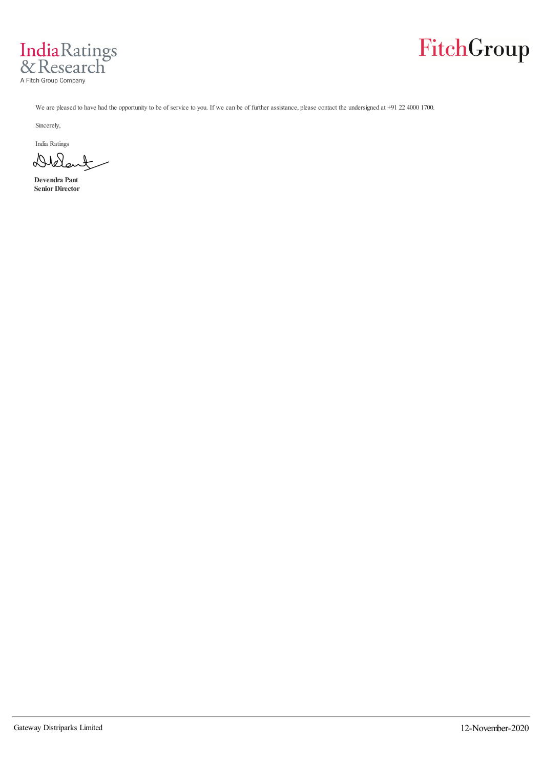



We are pleased to have had the opportunity to be of service to you. If we can be of further assistance, please contact the undersigned at +91 22 4000 1700.

Sincerely,

India Ratings

Diele  $\overline{\mathcal{X}}$ 

**Devendra Pant Senior Director**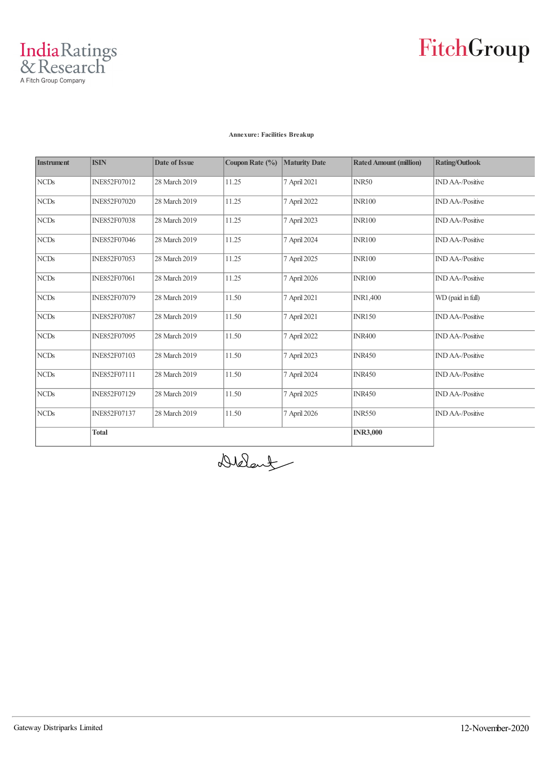

#### **Annexure: Facilities Breakup**

| <b>Instrument</b> | <b>ISIN</b>         | <b>Date of Issue</b> | Coupon Rate (%) | <b>Maturity Date</b> | <b>Rated Amount (million)</b> | <b>Rating/Outlook</b>   |
|-------------------|---------------------|----------------------|-----------------|----------------------|-------------------------------|-------------------------|
| <b>NCDs</b>       | INE852F07012        | 28 March 2019        | 11.25           | 7 April 2021         | <b>INR50</b>                  | <b>IND AA-/Positive</b> |
| <b>NCDs</b>       | <b>INE852F07020</b> | 28 March 2019        | 11.25           | 7 April 2022         | <b>INR100</b>                 | <b>IND AA-/Positive</b> |
| <b>NCDs</b>       | <b>INE852F07038</b> | 28 March 2019        | 11.25           | 7 April 2023         | <b>INR100</b>                 | <b>IND AA-/Positive</b> |
| <b>NCDs</b>       | INE852F07046        | 28 March 2019        | 11.25           | 7 April 2024         | <b>INR100</b>                 | <b>IND AA-/Positive</b> |
| <b>NCDs</b>       | <b>INE852F07053</b> | 28 March 2019        | 11.25           | 7 April 2025         | <b>INR100</b>                 | <b>IND AA-/Positive</b> |
| <b>NCDs</b>       | <b>INE852F07061</b> | 28 March 2019        | 11.25           | 7 April 2026         | <b>INR100</b>                 | <b>IND AA-/Positive</b> |
| <b>NCDs</b>       | INE852F07079        | 28 March 2019        | 11.50           | 7 April 2021         | <b>INR1,400</b>               | WD (paid in full)       |
| <b>NCDs</b>       | <b>INE852F07087</b> | 28 March 2019        | 11.50           | 7 April 2021         | <b>INR150</b>                 | <b>IND AA-/Positive</b> |
| <b>NCDs</b>       | <b>INE852F07095</b> | 28 March 2019        | 11.50           | 7 April 2022         | <b>INR400</b>                 | <b>IND AA-/Positive</b> |
| <b>NCDs</b>       | INE852F07103        | 28 March 2019        | 11.50           | 7 April 2023         | <b>INR450</b>                 | <b>IND AA-/Positive</b> |
| <b>NCDs</b>       | <b>INE852F07111</b> | 28 March 2019        | 11.50           | 7 April 2024         | <b>INR450</b>                 | <b>IND AA-/Positive</b> |
| <b>NCDs</b>       | INE852F07129        | 28 March 2019        | 11.50           | 7 April 2025         | <b>INR450</b>                 | <b>IND AA-/Positive</b> |
| <b>NCDs</b>       | <b>INE852F07137</b> | 28 March 2019        | 11.50           | 7 April 2026         | <b>INR550</b>                 | <b>IND AA-/Positive</b> |
|                   | <b>Total</b>        |                      |                 |                      | <b>INR3,000</b>               |                         |

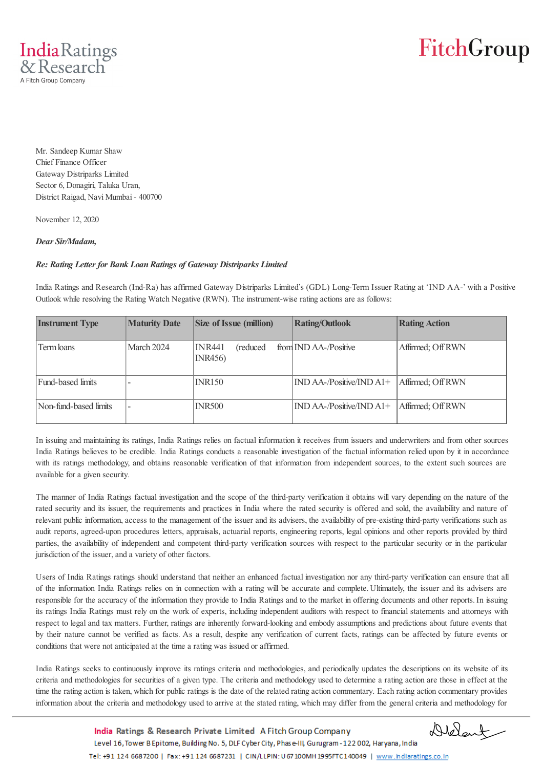

Mr. Sandeep Kumar Shaw Chief Finance Officer Gateway Distriparks Limited Sector 6, Donagiri, Taluka Uran, District Raigad, Navi Mumbai - 400700

November 12, 2020

### *Dear Sir/Madam,*

#### *Re: Rating Letter for Bank Loan Ratings of Gateway Distriparks Limited*

India Ratings and Research (Ind-Ra) has affirmed Gateway Distriparks Limited's (GDL) Long-Term Issuer Rating at 'IND AA-' with a Positive Outlook while resolving the Rating Watch Negative (RWN). The instrument-wise rating actions are as follows:

| <b>Instrument Type</b> | <b>Maturity Date</b> | <b>Size of Issue (million)</b> | <b>Rating/Outlook</b>                         | <b>Rating Action</b> |
|------------------------|----------------------|--------------------------------|-----------------------------------------------|----------------------|
| Term loans             | March 2024           | INR441<br>(reduced)<br>INR456  | from IND AA-/Positive                         | Affirmed; Off RWN    |
| Fund-based limits      |                      | <b>INR150</b>                  | $\overline{\text{IND AA-}}$ /Positive/IND A1+ | Affirmed; Off RWN    |
| Non-fund-based limits  |                      | <b>INR500</b>                  | $\overline{\text{IND AA-}}$ /Positive/IND A1+ | Affirmed; Off RWN    |

In issuing and maintaining its ratings, India Ratings relies on factual information it receives from issuers and underwriters and from other sources India Ratings believes to be credible. India Ratings conducts a reasonable investigation of the factual information relied upon by it in accordance with its ratings methodology, and obtains reasonable verification of that information from independent sources, to the extent such sources are available for a given security.

The manner of India Ratings factual investigation and the scope of the third-party verification it obtains will vary depending on the nature of the rated security and its issuer, the requirements and practices in India where the rated security is offered and sold, the availability and nature of relevant public information, access to the management of the issuer and its advisers, the availability of pre-existing third-party verifications such as audit reports, agreed-upon procedures letters, appraisals, actuarial reports, engineering reports, legal opinions and other reports provided by third parties, the availability of independent and competent third-party verification sources with respect to the particular security or in the particular jurisdiction of the issuer, and a variety of other factors.

Users of India Ratings ratings should understand that neither an enhanced factual investigation nor any third-party verification can ensure that all of the information India Ratings relies on in connection with a rating will be accurate and complete. Ultimately, the issuer and its advisers are responsible for the accuracy of the information they provide to India Ratings and to the market in offering documents and other reports. In issuing its ratings India Ratings must rely on the work of experts, including independent auditors with respect to financial statements and attorneys with respect to legal and tax matters. Further, ratings are inherently forward-looking and embody assumptions and predictions about future events that by their nature cannot be verified as facts. As a result, despite any verification of current facts, ratings can be affected by future events or conditions that were not anticipated at the time a rating was issued or affirmed.

India Ratings seeks to continuously improve its ratings criteria and methodologies, and periodically updates the descriptions on its website of its criteria and methodologies for securities of a given type. The criteria and methodology used to determine a rating action are those in effect at the time the rating action is taken, which for public ratings is the date of the related rating action commentary. Each rating action commentary provides information about the criteria and methodology used to arrive at the stated rating, which may differ from the general criteria and methodology for

> India Ratings & Research Private Limited A Fitch Group Company Level 16, Tower B Epitome, Building No. 5, DLF Cyber City, Phase-III, Gurugram - 122 002, Haryana, India Tel: +91 124 6687200 | Fax: +91 124 6687231 | CIN/LLPIN: U 67 100MH 1995FTC140049 | www.indiaratings.co.in

Delant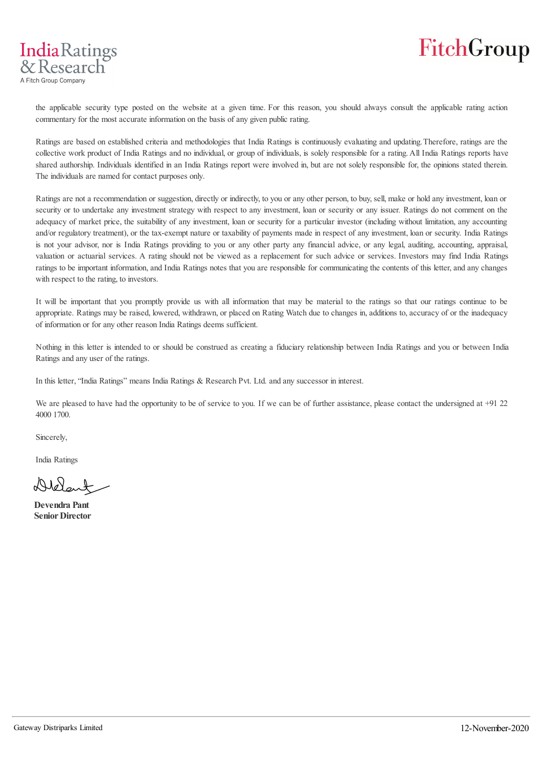

the applicable security type posted on the website at a given time. For this reason, you should always consult the applicable rating action commentary for the most accurate information on the basis of any given public rating.

Ratings are based on established criteria and methodologies that India Ratings is continuously evaluating and updating. Therefore, ratings are the collective work product of India Ratings and no individual, or group of individuals, is solely responsible for a rating. All India Ratings reports have shared authorship. Individuals identified in an India Ratings report were involved in, but are not solely responsible for, the opinions stated therein. The individuals are named for contact purposes only.

Ratings are not a recommendation or suggestion, directly or indirectly, to you or any other person, to buy, sell, make or hold any investment, loan or security or to undertake any investment strategy with respect to any investment, loan or security or any issuer. Ratings do not comment on the adequacy of market price, the suitability of any investment, loan or security for a particular investor (including without limitation, any accounting and/or regulatory treatment), or the tax-exempt nature or taxability of payments made in respect of any investment, loan or security. India Ratings is not your advisor, nor is India Ratings providing to you or any other party any financial advice, or any legal, auditing, accounting, appraisal, valuation or actuarial services. A rating should not be viewed as a replacement for such advice or services. Investors may find India Ratings ratings to be important information, and India Ratings notes that you are responsible for communicating the contents of this letter, and any changes with respect to the rating, to investors.

It will be important that you promptly provide us with all information that may be material to the ratings so that our ratings continue to be appropriate. Ratings may be raised, lowered, withdrawn, or placed on Rating Watch due to changes in, additions to, accuracy of or the inadequacy of information or for any other reason India Ratings deems sufficient.

Nothing in this letter is intended to or should be construed as creating a fiduciary relationship between India Ratings and you or between India Ratings and any user of the ratings.

In this letter, "India Ratings" means India Ratings & Research Pvt. Ltd. and any successor in interest.

We are pleased to have had the opportunity to be of service to you. If we can be of further assistance, please contact the undersigned at +91 22 4000 1700.

Sincerely,

India Ratings

 $AMA_{n+1}$ 

**Devendra Pant Senior Director**